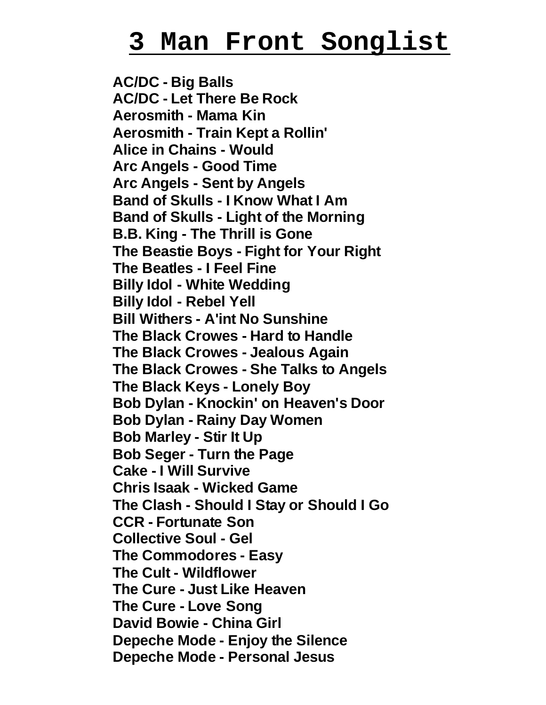## **3 Man Front S ongl i s t**

**AC/DC - Big Balls AC/DC - Let There Be Rock Aerosmith - Mama Kin Aerosmith - Train Kept a Rollin' Alice in Chains - Would Arc Angels - Good Time Arc Angels - Sent by Angels Band of Skulls - I Know What I Am Band of Skulls - Light of the Morning B.B. King - The Thrill is Gone The Beastie Boys - Fight for Your Right The Beatles - I Feel Fine Billy Idol - White Wedding Billy Idol - Rebel Yell Bill Withers - A'int No Sunshine The Black Crowes - Hard to Handle The Black Crowes - Jealous Again The Black Crowes - She Talks to Angels The Black Keys - Lonely Boy Bob Dylan - Knockin' on Heaven's Door Bob Dylan - Rainy Day Women Bob Marley - Stir It Up Bob Seger - Turn the Page Cake - I Will Survive Chris Isaak - Wicked Game The Clash - Should I Stay or Should I Go CCR - Fortunate Son Collective Soul - Gel The Commodores - Easy The Cult - Wildflower The Cure - Just Like Heaven The Cure - Love Song David Bowie - China Girl Depeche Mode - Enjoy the Silence Depeche Mode - Personal Jesus**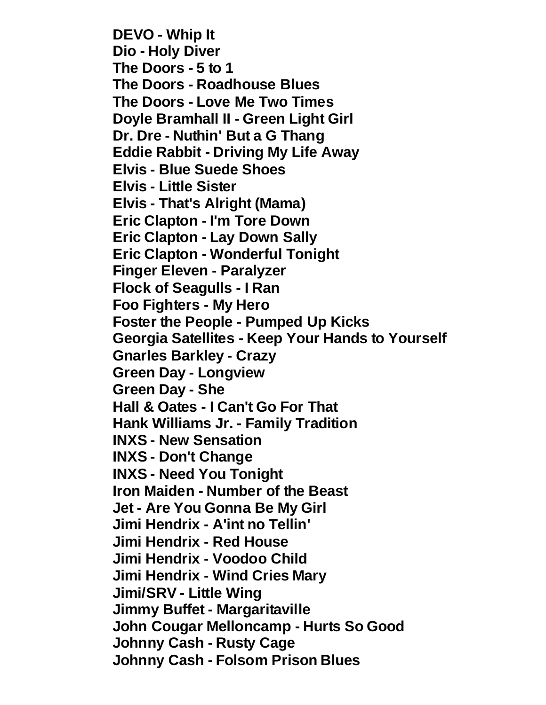**DEVO - Whip It Dio - Holy Diver The Doors - 5 to 1 The Doors - Roadhouse Blues The Doors - Love Me Two Times Doyle Bramhall II - Green Light Girl Dr. Dre - Nuthin' But a G Thang Eddie Rabbit - Driving My Life Away Elvis - Blue Suede Shoes Elvis - Little Sister Elvis - That's Alright (Mama) Eric Clapton - I'm Tore Down Eric Clapton - Lay Down Sally Eric Clapton - Wonderful Tonight Finger Eleven - Paralyzer Flock of Seagulls - I Ran Foo Fighters - My Hero Foster the People - Pumped Up Kicks Georgia Satellites - Keep Your Hands to Yourself Gnarles Barkley - Crazy Green Day - Longview Green Day - She Hall & Oates - I Can't Go For That Hank Williams Jr. - Family Tradition INXS - New Sensation INXS - Don't Change INXS - Need You Tonight Iron Maiden - Number of the Beast Jet - Are You Gonna Be My Girl Jimi Hendrix - A'int no Tellin' Jimi Hendrix - Red House Jimi Hendrix - Voodoo Child Jimi Hendrix - Wind Cries Mary Jimi/SRV - Little Wing Jimmy Buffet - Margaritaville John Cougar Melloncamp - Hurts So Good Johnny Cash - Rusty Cage Johnny Cash - Folsom Prison Blues**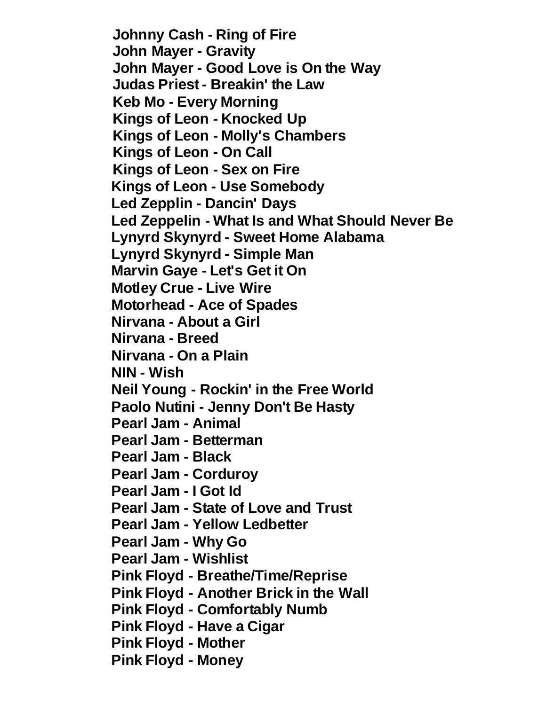**Johnny Cash - Ring of Fire John Mayer - Gravity John Mayer - Good Love is On the Way Judas Priest - Breakin' the Law Keb Mo - Every Morning Kings of Leon - Knocked Up Kings of Leon - Molly's Chambers Kings of Leon - On Call Kings of Leon - Sex on Fire Kings of Leon - Use Somebody Led Zepplin - Dancin' Days Led Zeppelin - What Is and What Should Never Be Lynyrd Skynyrd - Sweet Home Alabama Lynyrd Skynyrd - Simple Man Marvin Gaye - Let's Get it On Motley Crue - Live Wire Motorhead - Ace of Spades Nirvana - About a Girl Nirvana - Breed Nirvana - On a Plain NIN - Wish Neil Young - Rockin' in the Free World Paolo Nutini - Jenny Don't Be Hasty Pearl Jam - Animal Pearl Jam - Betterman Pearl Jam - Black Pearl Jam - Corduroy Pearl Jam - I Got Id Pearl Jam - State of Love and Trust Pearl Jam - Yellow Ledbetter Pearl Jam - Why Go Pearl Jam - Wishlist Pink Floyd - Breathe/Time/Reprise Pink Floyd - Another Brick in the Wall Pink Floyd - Comfortably Numb Pink Floyd - Have a Cigar Pink Floyd - Mother Pink Floyd - Money**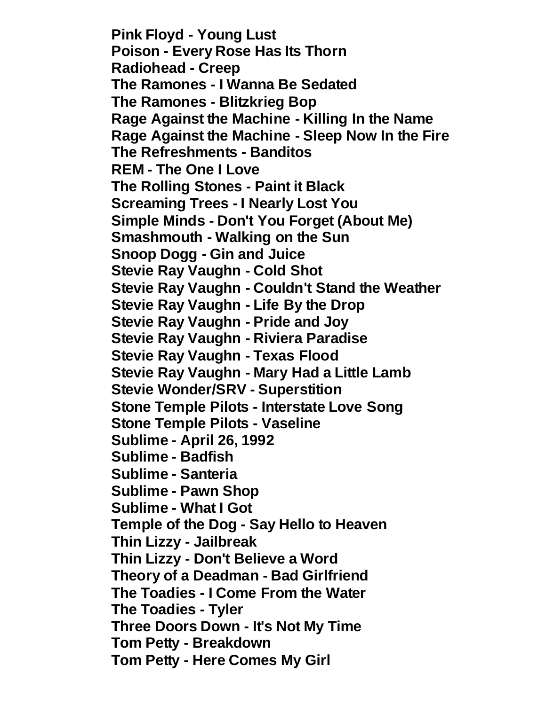**Pink Floyd - Young Lust Poison - Every Rose Has Its Thorn Radiohead - Creep The Ramones - I Wanna Be Sedated The Ramones - Blitzkrieg Bop Rage Against the Machine - Killing In the Name Rage Against the Machine - Sleep Now In the Fire The Refreshments - Banditos REM - The One I Love The Rolling Stones - Paint it Black Screaming Trees - I Nearly Lost You Simple Minds - Don't You Forget (About Me) Smashmouth - Walking on the Sun Snoop Dogg - Gin and Juice Stevie Ray Vaughn - Cold Shot Stevie Ray Vaughn - Couldn't Stand the Weather Stevie Ray Vaughn - Life By the Drop Stevie Ray Vaughn - Pride and Joy Stevie Ray Vaughn - Riviera Paradise Stevie Ray Vaughn - Texas Flood Stevie Ray Vaughn - Mary Had a Little Lamb Stevie Wonder/SRV - Superstition Stone Temple Pilots - Interstate Love Song Stone Temple Pilots - Vaseline Sublime - April 26, 1992 Sublime - Badfish Sublime - Santeria Sublime - Pawn Shop Sublime - What I Got Temple of the Dog - Say Hello to Heaven Thin Lizzy - Jailbreak Thin Lizzy - Don't Believe a Word Theory of a Deadman - Bad Girlfriend The Toadies - I Come From the Water The Toadies - Tyler Three Doors Down - It's Not My Time Tom Petty - Breakdown Tom Petty - Here Comes My Girl**